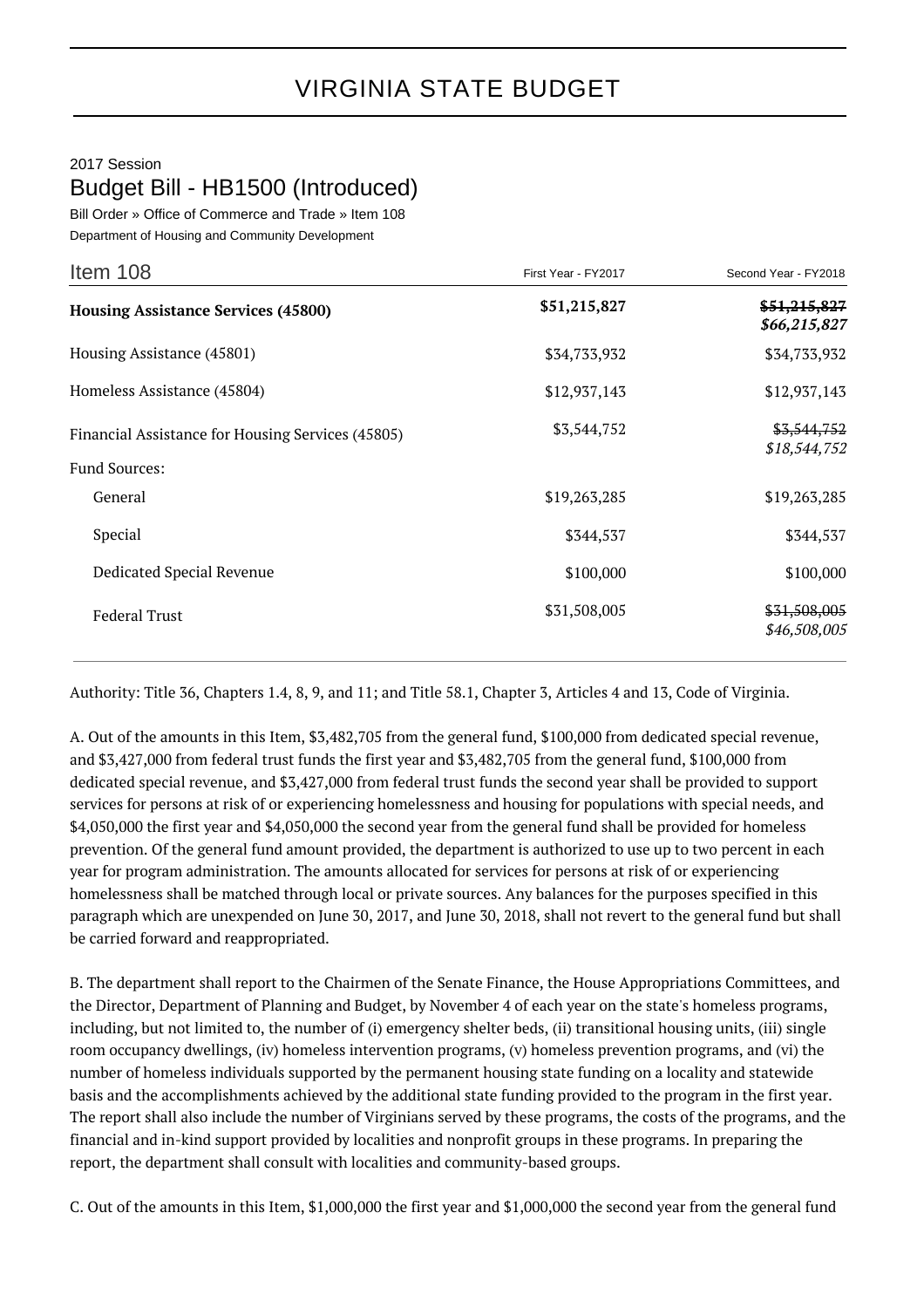## 2017 Session Budget Bill - HB1500 (Introduced)

Bill Order » Office of Commerce and Trade » Item 108 Department of Housing and Community Development

| Item 108                                                                  | First Year - FY2017 | Second Year - FY2018                   |
|---------------------------------------------------------------------------|---------------------|----------------------------------------|
| <b>Housing Assistance Services (45800)</b>                                | \$51,215,827        | \$51,215,827<br>\$66,215,827           |
| Housing Assistance (45801)                                                | \$34,733,932        | \$34,733,932                           |
| Homeless Assistance (45804)                                               | \$12,937,143        | \$12,937,143                           |
| Financial Assistance for Housing Services (45805)<br><b>Fund Sources:</b> | \$3,544,752         | <del>\$3,544,752</del><br>\$18,544,752 |
| General                                                                   | \$19,263,285        | \$19,263,285                           |
| Special                                                                   | \$344,537           | \$344,537                              |
| Dedicated Special Revenue                                                 | \$100,000           | \$100,000                              |
| <b>Federal Trust</b>                                                      | \$31,508,005        | \$31,508,005<br>\$46,508,005           |

Authority: Title 36, Chapters 1.4, 8, 9, and 11; and Title 58.1, Chapter 3, Articles 4 and 13, Code of Virginia.

A. Out of the amounts in this Item, \$3,482,705 from the general fund, \$100,000 from dedicated special revenue, and \$3,427,000 from federal trust funds the first year and \$3,482,705 from the general fund, \$100,000 from dedicated special revenue, and \$3,427,000 from federal trust funds the second year shall be provided to support services for persons at risk of or experiencing homelessness and housing for populations with special needs, and \$4,050,000 the first year and \$4,050,000 the second year from the general fund shall be provided for homeless prevention. Of the general fund amount provided, the department is authorized to use up to two percent in each year for program administration. The amounts allocated for services for persons at risk of or experiencing homelessness shall be matched through local or private sources. Any balances for the purposes specified in this paragraph which are unexpended on June 30, 2017, and June 30, 2018, shall not revert to the general fund but shall be carried forward and reappropriated.

B. The department shall report to the Chairmen of the Senate Finance, the House Appropriations Committees, and the Director, Department of Planning and Budget, by November 4 of each year on the state's homeless programs, including, but not limited to, the number of (i) emergency shelter beds, (ii) transitional housing units, (iii) single room occupancy dwellings, (iv) homeless intervention programs, (v) homeless prevention programs, and (vi) the number of homeless individuals supported by the permanent housing state funding on a locality and statewide basis and the accomplishments achieved by the additional state funding provided to the program in the first year. The report shall also include the number of Virginians served by these programs, the costs of the programs, and the financial and in-kind support provided by localities and nonprofit groups in these programs. In preparing the report, the department shall consult with localities and community-based groups.

C. Out of the amounts in this Item, \$1,000,000 the first year and \$1,000,000 the second year from the general fund